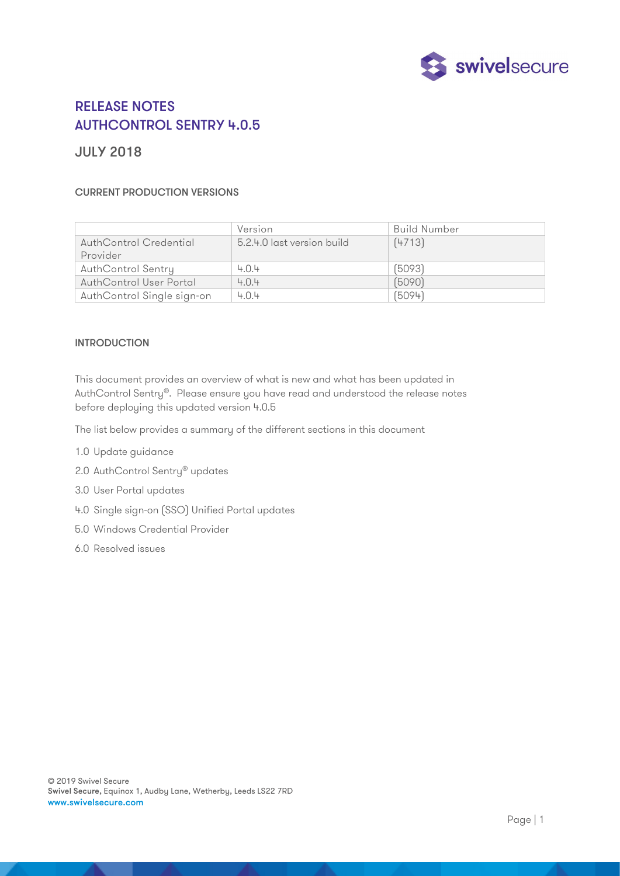

# RELEASE NOTES AUTHCONTROL SENTRY 4.0.5

# JULY 2018

# CURRENT PRODUCTION VERSIONS

|                                | Version                    | Build Number |
|--------------------------------|----------------------------|--------------|
| AuthControl Credential         | 5.2.4.0 last version build | [4713]       |
| Provider                       |                            |              |
| <b>AuthControl Sentry</b>      | 4.0.4                      | [5093]       |
| <b>AuthControl User Portal</b> | 4.0.4                      | (5090)       |
| AuthControl Single sign-on     | 4.0.4                      | (5094)       |

# INTRODUCTION

This document provides an overview of what is new and what has been updated in AuthControl Sentry®. Please ensure you have read and understood the release notes before deploying this updated version 4.0.5

The list below provides a summary of the different sections in this document

- 1.0 Update guidance
- 2.0 AuthControl Sentry<sup>®</sup> updates
- 3.0 User Portal updates
- 4.0 Single sign-on (SSO) Unified Portal updates
- 5.0 Windows Credential Provider
- 6.0 Resolved issues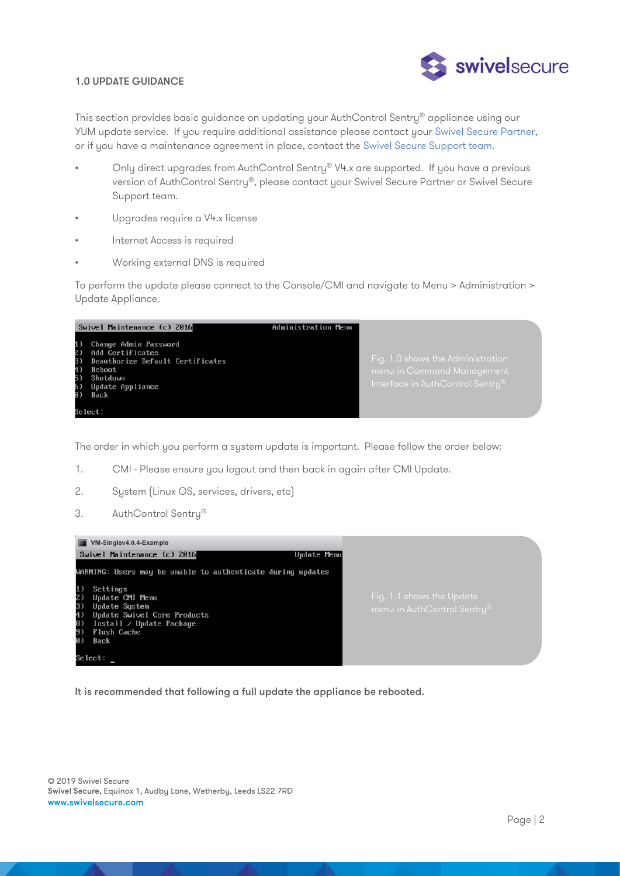

#### 1.0 UPDATE GUIDANCE

This section provides basic guidance on updating your AuthControl Sentry® appliance using our YUM update service. If you require additional assistance please contact your Swivel Secure Partner, or if you have a maintenance agreement in place, contact the Swivel Secure Support team.

- Only direct upgrades from AuthControl Sentry® V4.x are supported. If you have a previous version of AuthControl Sentry®, please contact your Swivel Secure Partner or Swivel Secure Support team.
- Upgrades require a V4.x license
- Internet Access is required
- Working external DNS is required

To perform the update please connect to the Console/CMI and navigate to Menu > Administration > Update Appliance.



The order in which you perform a system update is important. Please follow the order below:

- 1. CMI Please ensure you logout and then back in again after CMI Update.
- 2. System (Linux OS, services, drivers, etc)
- 3. AuthControl Sentry®



It is recommended that following a full update the appliance be rebooted.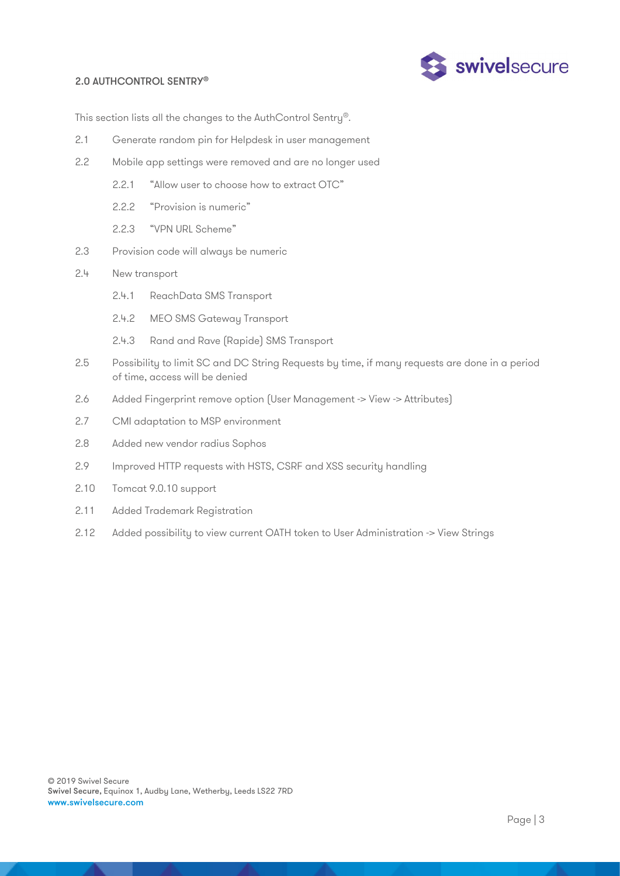# 2.0 AUTHCONTROL SENTRY®



This section lists all the changes to the AuthControl Sentry®.

- 2.1 Generate random pin for Helpdesk in user management
- 2.2 Mobile app settings were removed and are no longer used
	- 2.2.1 "Allow user to choose how to extract OTC"
	- 2.2.2 "Provision is numeric"
	- 2.2.3 "VPN URL Scheme"
- 2.3 Provision code will always be numeric
- 2.4 New transport
	- 2.4.1 ReachData SMS Transport
	- 2.4.2 MEO SMS Gateway Transport
	- 2.4.3 Rand and Rave (Rapide) SMS Transport
- 2.5 Possibility to limit SC and DC String Requests by time, if many requests are done in a period of time, access will be denied
- 2.6 Added Fingerprint remove option (User Management -> View -> Attributes)
- 2.7 CMI adaptation to MSP environment
- 2.8 Added new vendor radius Sophos
- 2.9 Improved HTTP requests with HSTS, CSRF and XSS security handling
- 2.10 Tomcat 9.0.10 support
- 2.11 Added Trademark Registration
- 2.12 Added possibility to view current OATH token to User Administration -> View Strings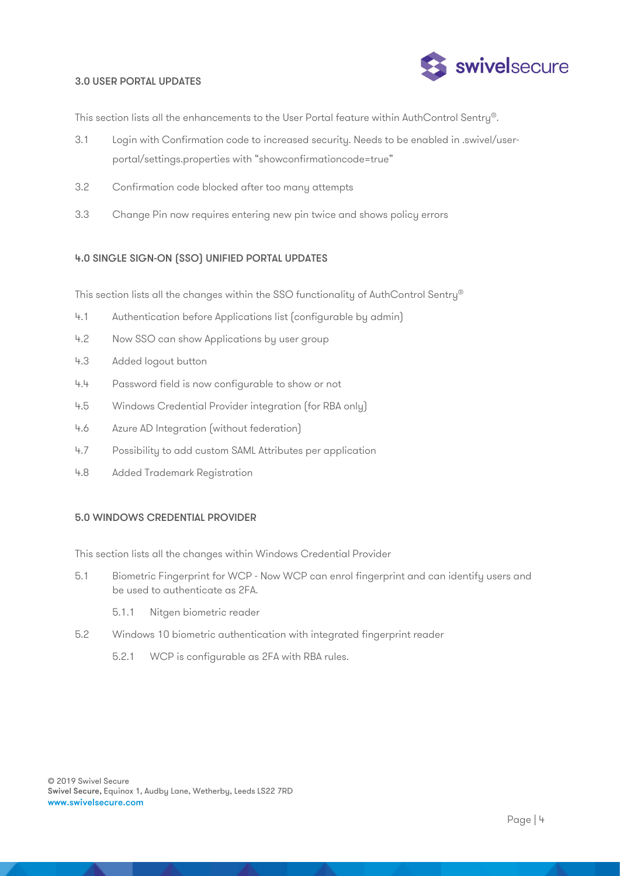

#### 3.0 USER PORTAL UPDATES

This section lists all the enhancements to the User Portal feature within AuthControl Sentry®.

- 3.1 Login with Confirmation code to increased security. Needs to be enabled in .swivel/userportal/settings.properties with "showconfirmationcode=true"
- 3.2 Confirmation code blocked after too many attempts
- 3.3 Change Pin now requires entering new pin twice and shows policy errors

# 4.0 SINGLE SIGN-ON (SSO) UNIFIED PORTAL UPDATES

This section lists all the changes within the SSO functionality of AuthControl Sentry®

- 4.1 Authentication before Applications list (configurable by admin)
- 4.2 Now SSO can show Applications by user group
- 4.3 Added logout button
- 4.4 Password field is now configurable to show or not
- 4.5 Windows Credential Provider integration (for RBA only)
- 4.6 Azure AD Integration (without federation)
- 4.7 Possibility to add custom SAML Attributes per application
- 4.8 Added Trademark Registration

#### 5.0 WINDOWS CREDENTIAL PROVIDER

This section lists all the changes within Windows Credential Provider

- 5.1 Biometric Fingerprint for WCP Now WCP can enrol fingerprint and can identify users and be used to authenticate as 2FA.
	- 5.1.1 Nitgen biometric reader
- 5.2 Windows 10 biometric authentication with integrated fingerprint reader
	- 5.2.1 WCP is configurable as 2FA with RBA rules.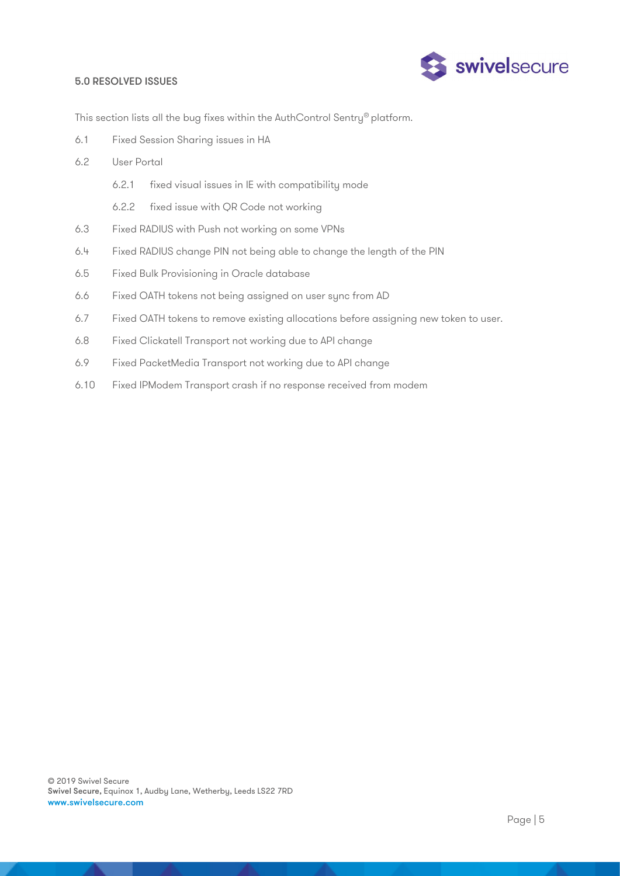#### 5.0 RESOLVED ISSUES



This section lists all the bug fixes within the AuthControl Sentry® platform.

- 6.1 Fixed Session Sharing issues in HA
- 6.2 User Portal
	- 6.2.1 fixed visual issues in IE with compatibility mode
	- 6.2.2 fixed issue with QR Code not working
- 6.3 Fixed RADIUS with Push not working on some VPNs
- 6.4 Fixed RADIUS change PIN not being able to change the length of the PIN
- 6.5 Fixed Bulk Provisioning in Oracle database
- 6.6 Fixed OATH tokens not being assigned on user sync from AD
- 6.7 Fixed OATH tokens to remove existing allocations before assigning new token to user.
- 6.8 Fixed Clickatell Transport not working due to API change
- 6.9 Fixed PacketMedia Transport not working due to API change
- 6.10 Fixed IPModem Transport crash if no response received from modem